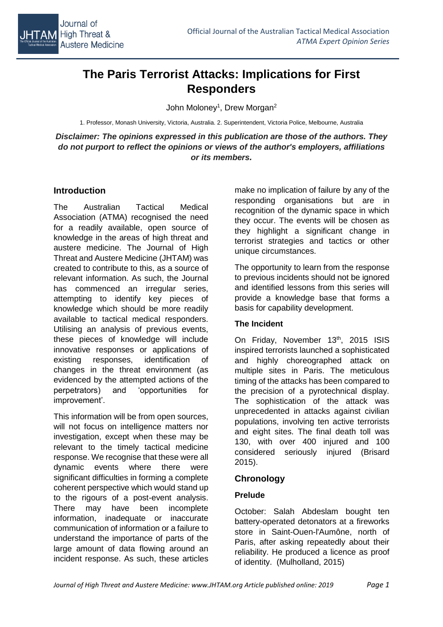

# **The Paris Terrorist Attacks: Implications for First Responders**

John Moloney<sup>1</sup>, Drew Morgan<sup>2</sup>

1. Professor, Monash University, Victoria, Australia. 2. Superintendent, Victoria Police, Melbourne, Australia

*Disclaimer: The opinions expressed in this publication are those of the authors. They do not purport to reflect the opinions or views of the author's employers, affiliations or its members.*

#### **Introduction**

The Australian Tactical Medical Association (ATMA) recognised the need for a readily available, open source of knowledge in the areas of high threat and austere medicine. The Journal of High Threat and Austere Medicine (JHTAM) was created to contribute to this, as a source of relevant information. As such, the Journal has commenced an irregular series, attempting to identify key pieces of knowledge which should be more readily available to tactical medical responders. Utilising an analysis of previous events, these pieces of knowledge will include innovative responses or applications of existing responses, identification of changes in the threat environment (as evidenced by the attempted actions of the perpetrators) and 'opportunities for improvement'.

This information will be from open sources, will not focus on intelligence matters nor investigation, except when these may be relevant to the timely tactical medicine response. We recognise that these were all dynamic events where there were significant difficulties in forming a complete coherent perspective which would stand up to the rigours of a post-event analysis. There may have been incomplete information, inadequate or inaccurate communication of information or a failure to understand the importance of parts of the large amount of data flowing around an incident response. As such, these articles

make no implication of failure by any of the responding organisations but are in recognition of the dynamic space in which they occur. The events will be chosen as they highlight a significant change in terrorist strategies and tactics or other unique circumstances.

The opportunity to learn from the response to previous incidents should not be ignored and identified lessons from this series will provide a knowledge base that forms a basis for capability development.

#### **The Incident**

On Friday, November 13<sup>th</sup>, 2015 ISIS inspired terrorists launched a sophisticated and highly choreographed attack on multiple sites in Paris. The meticulous timing of the attacks has been compared to the precision of a pyrotechnical display. The sophistication of the attack was unprecedented in attacks against civilian populations, involving ten active terrorists and eight sites. The final death toll was 130, with over 400 injured and 100 considered seriously injured (Brisard 2015).

## **Chronology**

## **Prelude**

October: Salah Abdeslam bought ten battery-operated detonators at a fireworks store in Saint-Ouen-l'Aumône, north of Paris, after asking repeatedly about their reliability. He produced a licence as proof of identity. (Mulholland, 2015)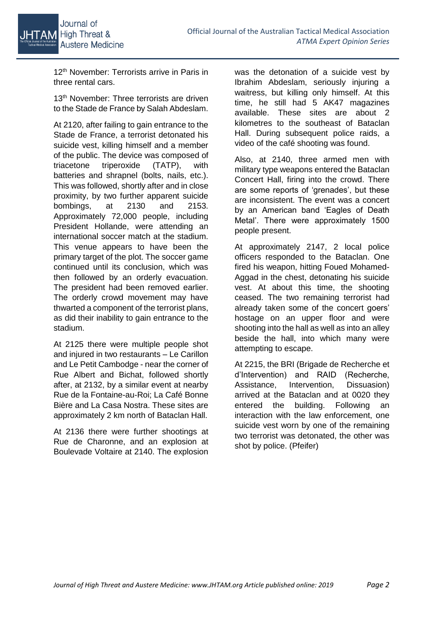12<sup>th</sup> November: Terrorists arrive in Paris in three rental cars.

13<sup>th</sup> November: Three terrorists are driven to the Stade de France by Salah Abdeslam.

At 2120, after failing to gain entrance to the Stade de France, a terrorist detonated his suicide vest, killing himself and a member of the public. The device was composed of triacetone triperoxide (TATP), with batteries and shrapnel (bolts, nails, etc.). This was followed, shortly after and in close proximity, by two further apparent suicide bombings, at 2130 and 2153. Approximately 72,000 people, including President Hollande, were attending an international soccer match at the stadium. This venue appears to have been the primary target of the plot. The soccer game continued until its conclusion, which was then followed by an orderly evacuation. The president had been removed earlier. The orderly crowd movement may have thwarted a component of the terrorist plans, as did their inability to gain entrance to the stadium.

At 2125 there were multiple people shot and injured in two restaurants – Le Carillon and Le Petit Cambodge - near the corner of Rue Albert and Bichat, followed shortly after, at 2132, by a similar event at nearby Rue de la Fontaine-au-Roi; La Café Bonne Bière and La Casa Nostra. These sites are approximately 2 km north of Bataclan Hall.

At 2136 there were further shootings at Rue de Charonne, and an explosion at Boulevade Voltaire at 2140. The explosion was the detonation of a suicide vest by Ibrahim Abdeslam, seriously injuring a waitress, but killing only himself. At this time, he still had 5 AK47 magazines available. These sites are about 2 kilometres to the southeast of Bataclan Hall. During subsequent police raids, a video of the café shooting was found.

Also, at 2140, three armed men with military type weapons entered the Bataclan Concert Hall, firing into the crowd. There are some reports of 'grenades', but these are inconsistent. The event was a concert by an American band 'Eagles of Death Metal'. There were approximately 1500 people present.

At approximately 2147, 2 local police officers responded to the Bataclan. One fired his weapon, hitting Foued Mohamed-Aggad in the chest, detonating his suicide vest. At about this time, the shooting ceased. The two remaining terrorist had already taken some of the concert goers' hostage on an upper floor and were shooting into the hall as well as into an alley beside the hall, into which many were attempting to escape.

At 2215, the BRI (Brigade de Recherche et d'Intervention) and RAID (Recherche, Assistance, Intervention, Dissuasion) arrived at the Bataclan and at 0020 they entered the building. Following an interaction with the law enforcement, one suicide vest worn by one of the remaining two terrorist was detonated, the other was shot by police. (Pfeifer)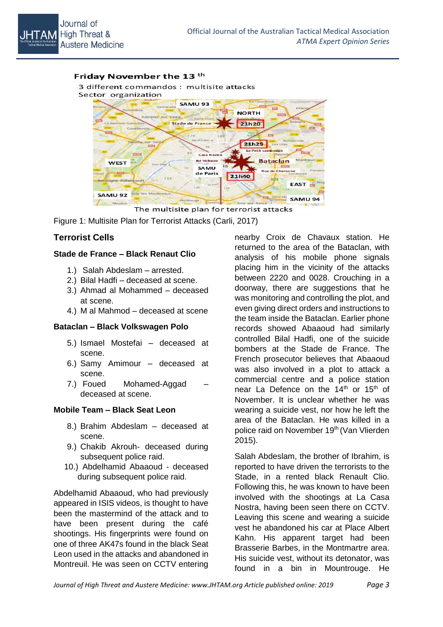#### Friday November the 13<sup>th</sup>

3 different commandos : multisite attacks



The multisite plan for terrorist attacks

Figure 1: Multisite Plan for Terrorist Attacks (Carli, 2017)

## **Terrorist Cells**

#### **Stade de France – Black Renaut Clio**

- 1.) Salah Abdeslam arrested.
- 2.) Bilal Hadfi deceased at scene.
- 3.) Ahmad al Mohammed deceased at scene.
- 4.) M al Mahmod deceased at scene

#### **Bataclan – Black Volkswagen Polo**

- 5.) Ismael Mostefai deceased at scene.
- 6.) Samy Amimour deceased at scene.
- 7.) Foued Mohamed-Aggad deceased at scene.

#### **Mobile Team – Black Seat Leon**

- 8.) Brahim Abdeslam deceased at scene.
- 9.) Chakib Akrouh- deceased during subsequent police raid.
- 10.) Abdelhamid Abaaoud deceased during subsequent police raid.

Abdelhamid Abaaoud, who had previously appeared in ISIS videos, is thought to have been the mastermind of the attack and to have been present during the café shootings. His fingerprints were found on one of three AK47s found in the black Seat Leon used in the attacks and abandoned in Montreuil. He was seen on CCTV entering

nearby Croix de Chavaux station. He returned to the area of the Bataclan, with analysis of his mobile phone signals placing him in the vicinity of the attacks between 2220 and 0028. Crouching in a doorway, there are suggestions that he was monitoring and controlling the plot, and even giving direct orders and instructions to the team inside the Bataclan. Earlier phone records showed Abaaoud had similarly controlled Bilal Hadfi, one of the suicide bombers at the Stade de France. The French prosecutor believes that Abaaoud was also involved in a plot to attack a commercial centre and a police station near La Defence on the 14<sup>th</sup> or 15<sup>th</sup> of November. It is unclear whether he was wearing a suicide vest, nor how he left the area of the Bataclan. He was killed in a police raid on November 19<sup>th</sup> (Van Vlierden 2015).

Salah Abdeslam, the brother of Ibrahim, is reported to have driven the terrorists to the Stade, in a rented black Renault Clio. Following this, he was known to have been involved with the shootings at La Casa Nostra, having been seen there on CCTV. Leaving this scene and wearing a suicide vest he abandoned his car at Place Albert Kahn. His apparent target had been Brasserie Barbes, in the Montmartre area. His suicide vest, without its detonator, was found in a bin in Mountrouge. He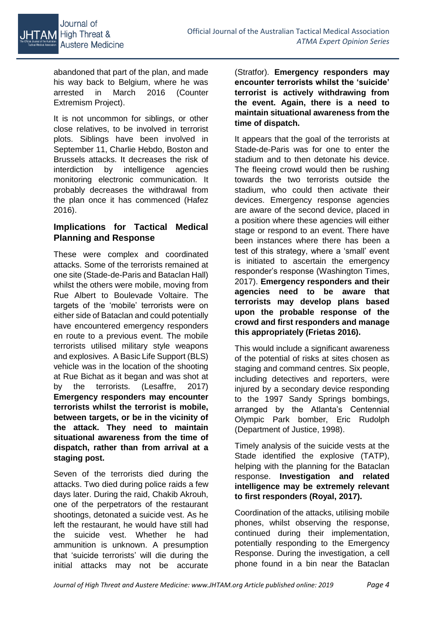

abandoned that part of the plan, and made his way back to Belgium, where he was arrested in March 2016 (Counter Extremism Project).

It is not uncommon for siblings, or other close relatives, to be involved in terrorist plots. Siblings have been involved in September 11, Charlie Hebdo, Boston and Brussels attacks. It decreases the risk of interdiction by intelligence agencies monitoring electronic communication. It probably decreases the withdrawal from the plan once it has commenced (Hafez 2016).

## **Implications for Tactical Medical Planning and Response**

These were complex and coordinated attacks. Some of the terrorists remained at one site (Stade-de-Paris and Bataclan Hall) whilst the others were mobile, moving from Rue Albert to Boulevade Voltaire. The targets of the 'mobile' terrorists were on either side of Bataclan and could potentially have encountered emergency responders en route to a previous event. The mobile terrorists utilised military style weapons and explosives. A Basic Life Support (BLS) vehicle was in the location of the shooting at Rue Bichat as it began and was shot at by the terrorists. (Lesaffre, 2017) **Emergency responders may encounter terrorists whilst the terrorist is mobile, between targets, or be in the vicinity of the attack. They need to maintain situational awareness from the time of dispatch, rather than from arrival at a staging post.**

Seven of the terrorists died during the attacks. Two died during police raids a few days later. During the raid, Chakib Akrouh, one of the perpetrators of the restaurant shootings, detonated a suicide vest. As he left the restaurant, he would have still had the suicide vest. Whether he had ammunition is unknown. A presumption that 'suicide terrorists' will die during the initial attacks may not be accurate (Stratfor). **Emergency responders may encounter terrorists whilst the 'suicide' terrorist is actively withdrawing from the event. Again, there is a need to maintain situational awareness from the time of dispatch.**

It appears that the goal of the terrorists at Stade-de-Paris was for one to enter the stadium and to then detonate his device. The fleeing crowd would then be rushing towards the two terrorists outside the stadium, who could then activate their devices. Emergency response agencies are aware of the second device, placed in a position where these agencies will either stage or respond to an event. There have been instances where there has been a test of this strategy, where a 'small' event is initiated to ascertain the emergency responder's response (Washington Times, 2017). **Emergency responders and their agencies need to be aware that terrorists may develop plans based upon the probable response of the crowd and first responders and manage this appropriately (Frietas 2016).**

This would include a significant awareness of the potential of risks at sites chosen as staging and command centres. Six people, including detectives and reporters, were injured by a secondary device responding to the 1997 Sandy Springs bombings, arranged by the Atlanta's Centennial Olympic Park bomber, Eric Rudolph (Department of Justice, 1998).

Timely analysis of the suicide vests at the Stade identified the explosive (TATP), helping with the planning for the Bataclan response. **Investigation and related intelligence may be extremely relevant to first responders (Royal, 2017).**

Coordination of the attacks, utilising mobile phones, whilst observing the response, continued during their implementation, potentially responding to the Emergency Response. During the investigation, a cell phone found in a bin near the Bataclan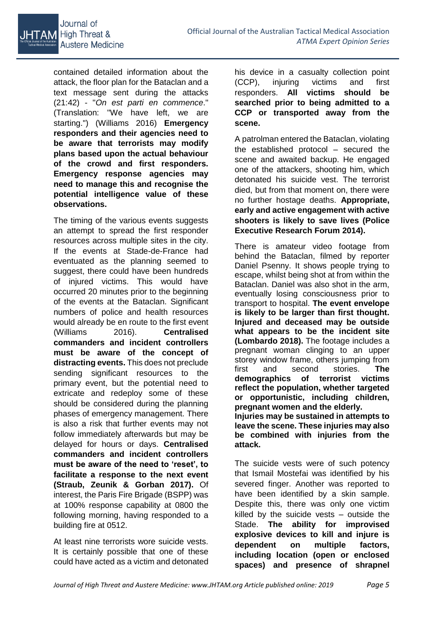

contained detailed information about the attack, the floor plan for the Bataclan and a text message sent during the attacks (21:42) - "*On est parti en commence*." (Translation: "We have left, we are starting.") (Williams 2016) **Emergency responders and their agencies need to be aware that terrorists may modify plans based upon the actual behaviour of the crowd and first responders. Emergency response agencies may need to manage this and recognise the potential intelligence value of these observations.**

The timing of the various events suggests an attempt to spread the first responder resources across multiple sites in the city. If the events at Stade-de-France had eventuated as the planning seemed to suggest, there could have been hundreds of injured victims. This would have occurred 20 minutes prior to the beginning of the events at the Bataclan. Significant numbers of police and health resources would already be en route to the first event (Williams 2016). **Centralised commanders and incident controllers must be aware of the concept of distracting events.** This does not preclude sending significant resources to the primary event, but the potential need to extricate and redeploy some of these should be considered during the planning phases of emergency management. There is also a risk that further events may not follow immediately afterwards but may be delayed for hours or days. **Centralised commanders and incident controllers must be aware of the need to 'reset', to facilitate a response to the next event (Straub, Zeunik & Gorban 2017).** Of interest, the Paris Fire Brigade (BSPP) was at 100% response capability at 0800 the following morning, having responded to a building fire at 0512.

At least nine terrorists wore suicide vests. It is certainly possible that one of these could have acted as a victim and detonated his device in a casualty collection point (CCP), injuring victims and first responders. **All victims should be searched prior to being admitted to a CCP or transported away from the scene.**

A patrolman entered the Bataclan, violating the established protocol – secured the scene and awaited backup. He engaged one of the attackers, shooting him, which detonated his suicide vest. The terrorist died, but from that moment on, there were no further hostage deaths. **Appropriate, early and active engagement with active shooters is likely to save lives (Police Executive Research Forum 2014).**

There is amateur video footage from behind the Bataclan, filmed by reporter Daniel Psenny. It shows people trying to escape, whilst being shot at from within the Bataclan. Daniel was also shot in the arm, eventually losing consciousness prior to transport to hospital. **The event envelope is likely to be larger than first thought. Injured and deceased may be outside what appears to be the incident site (Lombardo 2018).** The footage includes a pregnant woman clinging to an upper storey window frame, others jumping from first and second stories. **The demographics of terrorist victims reflect the population, whether targeted or opportunistic, including children, pregnant women and the elderly.**

**Injuries may be sustained in attempts to leave the scene. These injuries may also be combined with injuries from the attack.**

The suicide vests were of such potency that Ismail Mostefai was identified by his severed finger. Another was reported to have been identified by a skin sample. Despite this, there was only one victim killed by the suicide vests – outside the Stade. **The ability for improvised explosive devices to kill and injure is dependent on multiple factors, including location (open or enclosed spaces) and presence of shrapnel**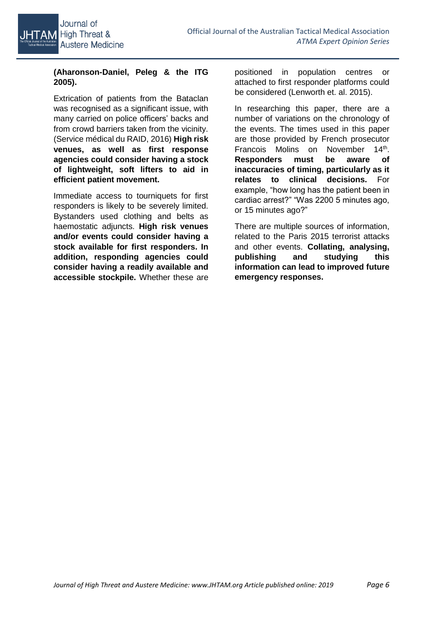

## **(Aharonson-Daniel, Peleg & the ITG 2005).**

Extrication of patients from the Bataclan was recognised as a significant issue, with many carried on police officers' backs and from crowd barriers taken from the vicinity. (Service médical du RAID, 2016) **High risk venues, as well as first response agencies could consider having a stock of lightweight, soft lifters to aid in efficient patient movement.**

Immediate access to tourniquets for first responders is likely to be severely limited. Bystanders used clothing and belts as haemostatic adjuncts. **High risk venues and/or events could consider having a stock available for first responders. In addition, responding agencies could consider having a readily available and accessible stockpile.** Whether these are

positioned in population centres or attached to first responder platforms could be considered (Lenworth et. al. 2015).

In researching this paper, there are a number of variations on the chronology of the events. The times used in this paper are those provided by French prosecutor Francois Molins on November 14<sup>th</sup>. **Responders must be aware of inaccuracies of timing, particularly as it relates to clinical decisions.** For example, "how long has the patient been in cardiac arrest?" "Was 2200 5 minutes ago, or 15 minutes ago?"

There are multiple sources of information, related to the Paris 2015 terrorist attacks and other events. **Collating, analysing, publishing and studying this information can lead to improved future emergency responses.**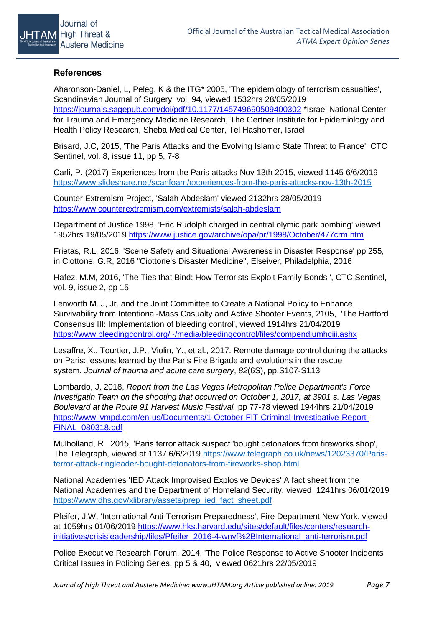

### **References**

Aharonson-Daniel, L, Peleg, K & the ITG\* 2005, 'The epidemiology of terrorism casualties', Scandinavian Journal of Surgery, vol. 94, viewed 1532hrs 28/05/2019 <https://journals.sagepub.com/doi/pdf/10.1177/145749690509400302> \*Israel National Center for Trauma and Emergency Medicine Research, The Gertner Institute for Epidemiology and Health Policy Research, Sheba Medical Center, Tel Hashomer, Israel

Brisard, J.C, 2015, 'The Paris Attacks and the Evolving Islamic State Threat to France', CTC Sentinel, vol. 8, issue 11, pp 5, 7-8

Carli, P. (2017) Experiences from the Paris attacks Nov 13th 2015, viewed 1145 6/6/2019 <https://www.slideshare.net/scanfoam/experiences-from-the-paris-attacks-nov-13th-2015>

Counter Extremism Project, 'Salah Abdeslam' viewed 2132hrs 28/05/2019 <https://www.counterextremism.com/extremists/salah-abdeslam>

Department of Justice 1998, 'Eric Rudolph charged in central olymic park bombing' viewed 1952hrs 19/05/2019<https://www.justice.gov/archive/opa/pr/1998/October/477crm.htm>

Frietas, R.L, 2016, 'Scene Safety and Situational Awareness in Disaster Response' pp 255, in Ciottone, G.R, 2016 "Ciottone's Disaster Medicine", Elseiver, Philadelphia, 2016

Hafez, M.M, 2016, 'The Ties that Bind: How Terrorists Exploit Family Bonds ', CTC Sentinel, vol. 9, issue 2, pp 15

Lenworth M. J, Jr. and the Joint Committee to Create a National Policy to Enhance Survivability from Intentional-Mass Casualty and Active Shooter Events, 2105, 'The Hartford Consensus III: Implementation of bleeding control', viewed 1914hrs 21/04/2019 <https://www.bleedingcontrol.org/~/media/bleedingcontrol/files/compendiumhciii.ashx>

Lesaffre, X., Tourtier, J.P., Violin, Y., et al., 2017. Remote damage control during the attacks on Paris: lessons learned by the Paris Fire Brigade and evolutions in the rescue system. *Journal of trauma and acute care surgery*, *82*(6S), pp.S107-S113

Lombardo, J, 2018, *Report from the Las Vegas Metropolitan Police Department's Force Investigatin Team on the shooting that occurred on October 1, 2017, at 3901 s. Las Vegas Boulevard at the Route 91 Harvest Music Festival.* pp 77-78 viewed 1944hrs 21/04/2019 [https://www.lvmpd.com/en-us/Documents/1-October-FIT-Criminal-Investigative-Report-](https://www.lvmpd.com/en-us/Documents/1-October-FIT-Criminal-Investigative-Report-FINAL_080318.pdf)[FINAL\\_080318.pdf](https://www.lvmpd.com/en-us/Documents/1-October-FIT-Criminal-Investigative-Report-FINAL_080318.pdf)

Mulholland, R., 2015, 'Paris terror attack suspect 'bought detonators from fireworks shop', The Telegraph, viewed at 1137 6/6/2019 [https://www.telegraph.co.uk/news/12023370/Paris](https://www.telegraph.co.uk/news/12023370/Paris-terror-attack-ringleader-bought-detonators-from-fireworks-shop.html)[terror-attack-ringleader-bought-detonators-from-fireworks-shop.html](https://www.telegraph.co.uk/news/12023370/Paris-terror-attack-ringleader-bought-detonators-from-fireworks-shop.html)

National Academies 'IED Attack Improvised Explosive Devices' A fact sheet from the National Academies and the Department of Homeland Security, viewed 1241hrs 06/01/2019 [https://www.dhs.gov/xlibrary/assets/prep\\_ied\\_fact\\_sheet.pdf](https://www.dhs.gov/xlibrary/assets/prep_ied_fact_sheet.pdf)

Pfeifer, J.W, 'International Anti-Terrorism Preparedness', Fire Department New York, viewed at 1059hrs 01/06/2019 [https://www.hks.harvard.edu/sites/default/files/centers/research](https://www.hks.harvard.edu/sites/default/files/centers/research-initiatives/crisisleadership/files/Pfeifer_2016-4-wnyf%2BInternational_anti-terrorism.pdf)[initiatives/crisisleadership/files/Pfeifer\\_2016-4-wnyf%2BInternational\\_anti-terrorism.pdf](https://www.hks.harvard.edu/sites/default/files/centers/research-initiatives/crisisleadership/files/Pfeifer_2016-4-wnyf%2BInternational_anti-terrorism.pdf)

Police Executive Research Forum, 2014, 'The Police Response to Active Shooter Incidents' Critical Issues in Policing Series, pp 5 & 40, viewed 0621hrs 22/05/2019